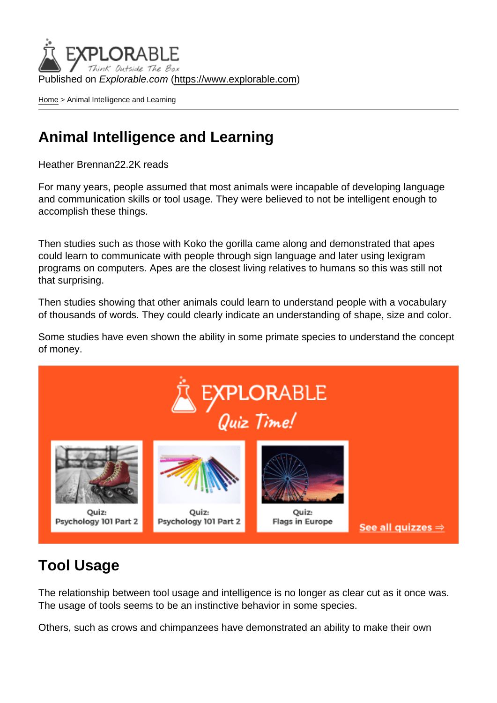Published on Explorable.com (<https://www.explorable.com>)

[Home](https://www.explorable.com/) > Animal Intelligence and Learning

## Animal Intelligence and Learning

Heather Brennan22.2K reads

For many years, people assumed that most animals were incapable of developing language and communication skills or tool usage. They were believed to not be intelligent enough to accomplish these things.

Then studies such as those with Koko the gorilla came along and demonstrated that apes could learn to communicate with people through sign language and later using lexigram programs on computers. Apes are the closest living relatives to humans so this was still not that surprising.

Then studies showing that other animals could learn to understand people with a vocabulary of thousands of words. They could clearly indicate an understanding of shape, size and color.

Some studies have even shown the ability in some primate species to understand the concept of money.

## Tool Usage

The relationship between tool usage and intelligence is no longer as clear cut as it once was. The usage of tools seems to be an instinctive behavior in some species.

Others, such as crows and chimpanzees have demonstrated an ability to make their own